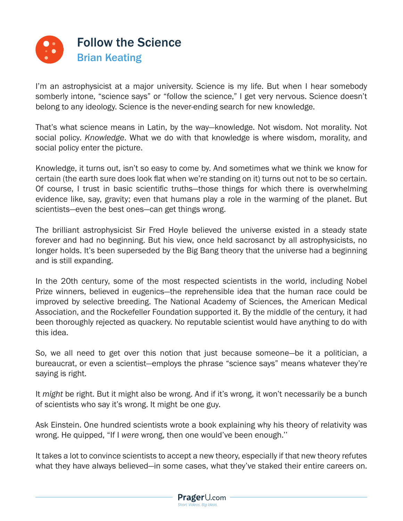

I'm an astrophysicist at a major university. Science is my life. But when I hear somebody somberly intone, "science says" or "follow the science," I get very nervous. Science doesn't belong to any ideology. Science is the never-ending search for new knowledge.

That's what science means in Latin, by the way—knowledge. Not wisdom. Not morality. Not social policy. *Knowledge*. What we do with that knowledge is where wisdom, morality, and social policy enter the picture.

Knowledge, it turns out, isn't so easy to come by. And sometimes what we think we know for certain (the earth sure does look flat when we're standing on it) turns out not to be so certain. Of course, I trust in basic scientific truths—those things for which there is overwhelming evidence like, say, gravity; even that humans play a role in the warming of the planet. But scientists—even the best ones—can get things wrong.

The brilliant astrophysicist Sir Fred Hoyle believed the universe existed in a steady state forever and had no beginning. But his view, once held sacrosanct by all astrophysicists, no longer holds. It's been superseded by the Big Bang theory that the universe had a beginning and is still expanding.

In the 20th century, some of the most respected scientists in the world, including Nobel Prize winners, believed in eugenics—the reprehensible idea that the human race could be improved by selective breeding. The National Academy of Sciences, the American Medical Association, and the Rockefeller Foundation supported it. By the middle of the century, it had been thoroughly rejected as quackery. No reputable scientist would have anything to do with this idea.

So, we all need to get over this notion that just because someone—be it a politician, a bureaucrat, or even a scientist—employs the phrase "science says" means whatever they're saying is right.

It *might* be right. But it might also be wrong. And if it's wrong, it won't necessarily be a bunch of scientists who say it's wrong. It might be one guy.

Ask Einstein. One hundred scientists wrote a book explaining why his theory of relativity was wrong. He quipped, "If I *were* wrong, then one would've been enough.''

It takes a lot to convince scientists to accept a new theory, especially if that new theory refutes what they have always believed—in some cases, what they've staked their entire careers on.